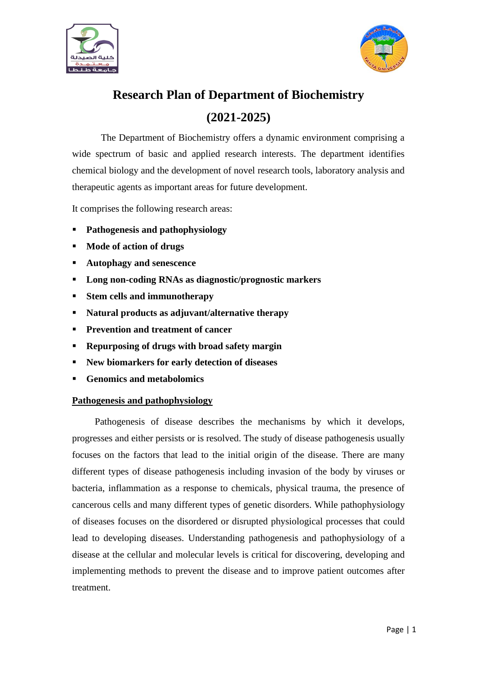



# **Research Plan of Department of Biochemistry (2021-2025)**

The Department of Biochemistry offers a dynamic environment comprising a wide spectrum of basic and applied research interests. The department identifies chemical biology and the development of novel research tools, laboratory analysis and therapeutic agents as important areas for future development.

It comprises the following research areas:

- **Pathogenesis and pathophysiology**
- **Mode of action of drugs**
- **Autophagy and senescence**
- **Long non-coding RNAs as diagnostic/prognostic markers**
- **Stem cells and immunotherapy**
- **Natural products as adjuvant/alternative therapy**
- **Prevention and treatment of cancer**
- **Repurposing of drugs with broad safety margin**
- **New biomarkers for early detection of diseases**
- **Genomics and metabolomics**

# **Pathogenesis and pathophysiology**

Pathogenesis of disease describes the mechanisms by which it develops, progresses and either persists or is resolved. The study of disease pathogenesis usually focuses on the factors that lead to the initial origin of the disease. There are many different types of disease pathogenesis including invasion of the body by viruses or bacteria, inflammation as a response to chemicals, physical trauma, the presence of cancerous cells and many different types of genetic disorders. While pathophysiology of diseases focuses on the disordered or disrupted physiological processes that could lead to developing diseases. Understanding pathogenesis and pathophysiology of a disease at the cellular and molecular levels is critical for discovering, developing and implementing methods to prevent the disease and to improve patient outcomes after treatment.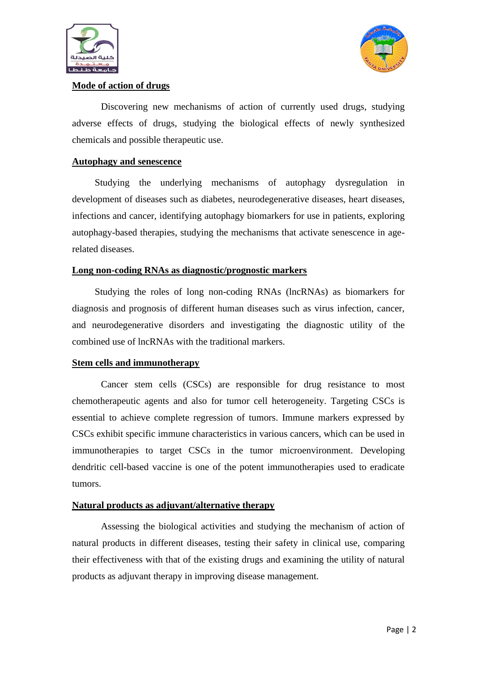



#### **Mode of action of drugs**

Discovering new mechanisms of action of currently used drugs, studying adverse effects of drugs, studying the biological effects of newly synthesized chemicals and possible therapeutic use.

#### **Autophagy and senescence**

Studying the underlying mechanisms of autophagy dysregulation in development of diseases such as diabetes, neurodegenerative diseases, heart diseases, infections and cancer, identifying autophagy biomarkers for use in patients, exploring autophagy-based therapies, studying the mechanisms that activate senescence in agerelated diseases.

#### **Long non-coding RNAs as diagnostic/prognostic markers**

Studying the roles of long non-coding RNAs (lncRNAs) as biomarkers for diagnosis and prognosis of different human diseases such as virus infection, cancer, and neurodegenerative disorders and investigating the diagnostic utility of the combined use of lncRNAs with the traditional markers.

#### **Stem cells and immunotherapy**

Cancer stem cells (CSCs) are responsible for drug resistance to most chemotherapeutic agents and also for tumor cell heterogeneity. Targeting CSCs is essential to achieve complete regression of tumors. Immune markers expressed by CSCs exhibit specific immune characteristics in various cancers, which can be used in immunotherapies to target CSCs in the tumor microenvironment. Developing dendritic cell-based vaccine is one of the potent immunotherapies used to eradicate tumors.

#### **Natural products as adjuvant/alternative therapy**

Assessing the biological activities and studying the mechanism of action of natural products in different diseases, testing their safety in clinical use, comparing their effectiveness with that of the existing drugs and examining the utility of natural products as adjuvant therapy in improving disease management.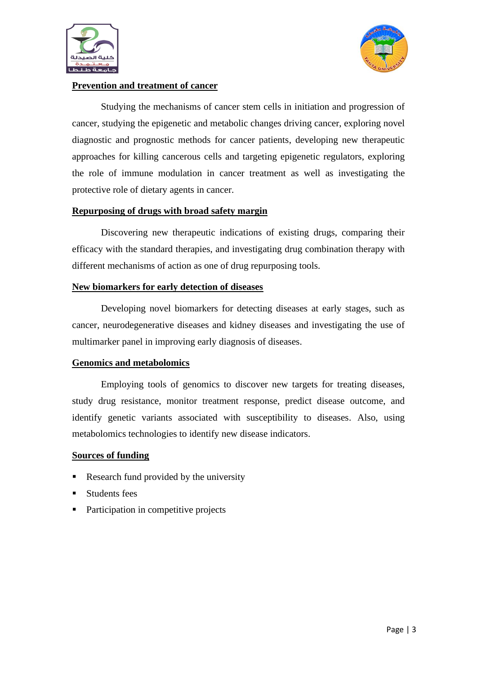



#### **Prevention and treatment of cancer**

Studying the mechanisms of cancer stem cells in initiation and progression of cancer, studying the epigenetic and metabolic changes driving cancer, exploring novel diagnostic and prognostic methods for cancer patients, developing new therapeutic approaches for killing cancerous cells and targeting epigenetic regulators, exploring the role of immune modulation in cancer treatment as well as investigating the protective role of dietary agents in cancer.

## **Repurposing of drugs with broad safety margin**

Discovering new therapeutic indications of existing drugs, comparing their efficacy with the standard therapies, and investigating drug combination therapy with different mechanisms of action as one of drug repurposing tools.

## **New biomarkers for early detection of diseases**

Developing novel biomarkers for detecting diseases at early stages, such as cancer, neurodegenerative diseases and kidney diseases and investigating the use of multimarker panel in improving early diagnosis of diseases.

# **Genomics and metabolomics**

Employing tools of genomics to discover new targets for treating diseases, study drug resistance, monitor treatment response, predict disease outcome, and identify genetic variants associated with susceptibility to diseases. Also, using metabolomics technologies to identify new disease indicators.

#### **Sources of funding**

- Research fund provided by the university
- Students fees
- Participation in competitive projects